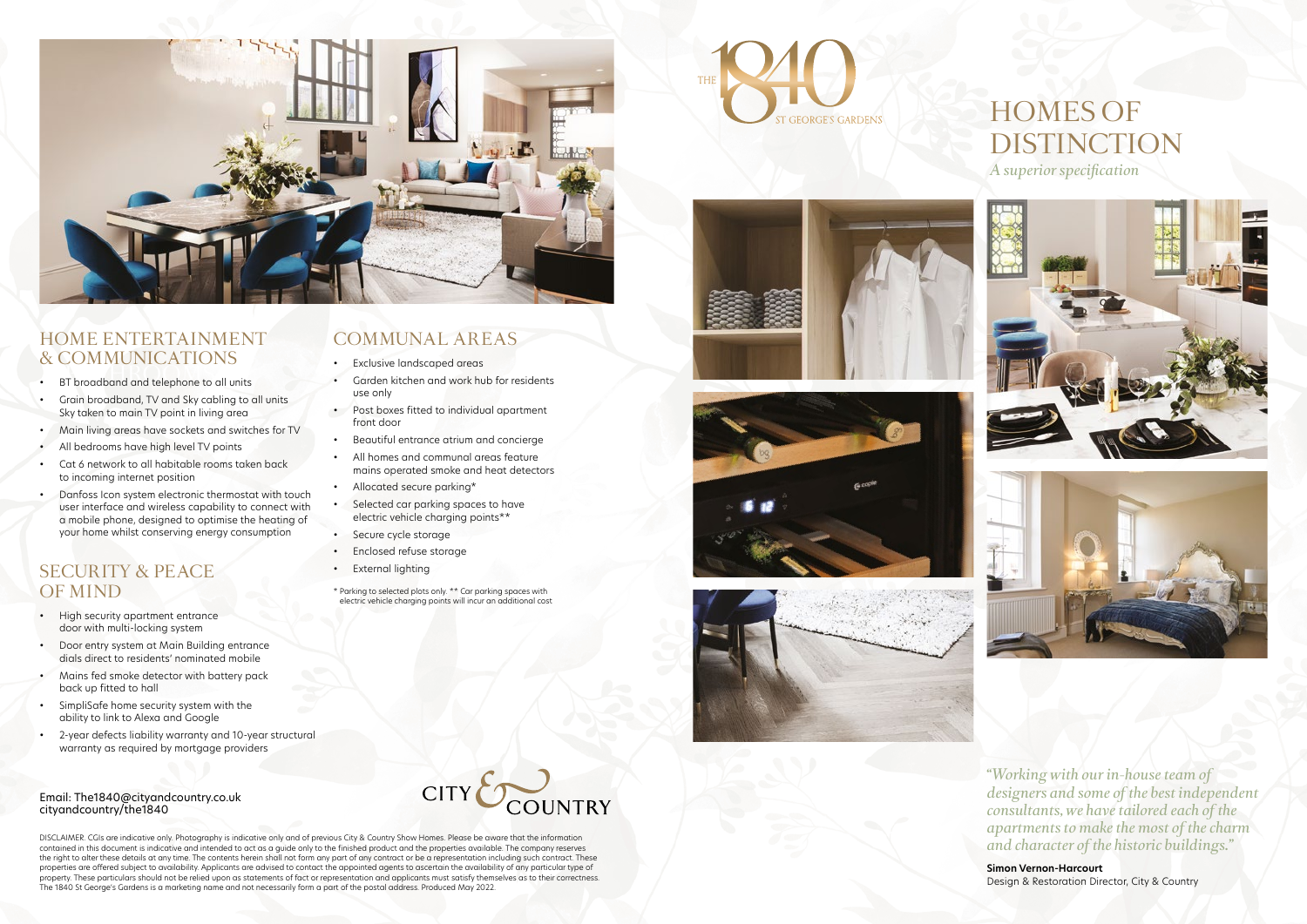*"Working with our in-house team of designers and some of the best independent consultants, we have tailored each of the apartments to make the most of the charm and character of the historic buildings."*

**Simon Vernon-Harcourt** Design & Restoration Director, City & Country

*A superior specification*



# HOMES OF DISTINCTION

DISCLAIMER. CGIs are indicative only. Photography is indicative only and of previous City & Country Show Homes. Please be aware that the information contained in this document is indicative and intended to act as a guide only to the finished product and the properties available. The company reserves the right to alter these details at any time. The contents herein shall not form any part of any contract or be a representation including such contract. These properties are offered subject to availability. Applicants are advised to contact the appointed agents to ascertain the availability of any particular type of property. These particulars should not be relied upon as statements of fact or representation and applicants must satisfy themselves as to their correctness. The 1840 St George's Gardens is a marketing name and not necessarily form a part of the postal address. Produced May 2022.

- BT broadband and telephone to all units
- Grain broadband, TV and Sky cabling to all units Sky taken to main TV point in living area
- Main living areas have sockets and switches for TV
- All bedrooms have high level TV points
- Cat 6 network to all habitable rooms taken back to incoming internet position
- Danfoss Icon system electronic thermostat with touch user interface and wireless capability to connect with a mobile phone, designed to optimise the heating of your home whilst conserving energy consumption

Email: The1840@cityandcountry.co.uk

cityandcountry/the1840



# HOME ENTERTAINMENT & COMMUNICATIONS

### SECURITY & PEACE OF MIND

- High security apartment entrance door with multi-locking system
- Door entry system at Main Building entrance dials direct to residents' nominated mobile
- Mains fed smoke detector with battery pack back up fitted to hall
- SimpliSafe home security system with the ability to link to Alexa and Google

• 2-year defects liability warranty and 10-year structural warranty as required by mortgage providers

# COMMUNAL AREAS

- Exclusive landscaped areas
- Garden kitchen and work hub for residents use only
- Post boxes fitted to individual apartment front door
- Beautiful entrance atrium and concierge
- All homes and communal areas feature mains operated smoke and heat detectors
- Allocated secure parking\*
- Selected car parking spaces to have electric vehicle charging points\*\*
- Secure cycle storage
- Enclosed refuse storage
- **External lighting**
- \* Parking to selected plots only. \*\* Car parking spaces with electric vehicle charging points will incur an additional cost